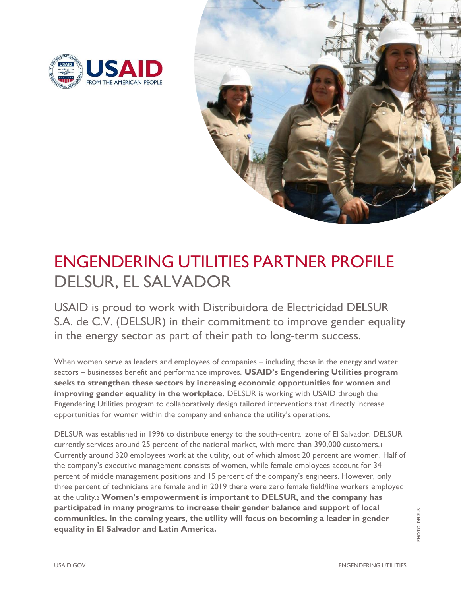



# ENGENDERING UTILITIES PARTNER PROFILE DELSUR, EL SALVADOR

USAID is proud to work with Distribuidora de Electricidad DELSUR S.A. de C.V. (DELSUR) in their commitment to improve gender equality in the energy sector as part of their path to long-term success.

When women serve as leaders and employees of companies – including those in the energy and water sectors – businesses benefit and performance improves. **USAID's Engendering Utilities program seeks to strengthen these sectors by increasing economic opportunities for women and improving gender equality in the workplace.** DELSUR is working with USAID through the Engendering Utilities program to collaboratively design tailored interventions that directly increase opportunities for women within the company and enhance the utility's operations.

DELSUR was established in 1996 to distribute energy to the south-central zone of El Salvador. DELSUR currently services around 25 percent of the national market, with more than 390,000 customers.<sup>1</sup> Currently around 320 employees work at the utility, out of which almost 20 percent are women. Half of the company's executive management consists of women, while female employees account for 34 percent of middle management positions and 15 percent of the company's engineers. However, only three percent of technicians are female and in 2019 there were zero female field/line workers employed at the utility.<sup>2</sup> **Women's empowerment is important to DELSUR, and the company has participated in many programs to increase their gender balance and support of local communities. In the coming years, the utility will focus on becoming a leader in gender equality in El Salvador and Latin America.**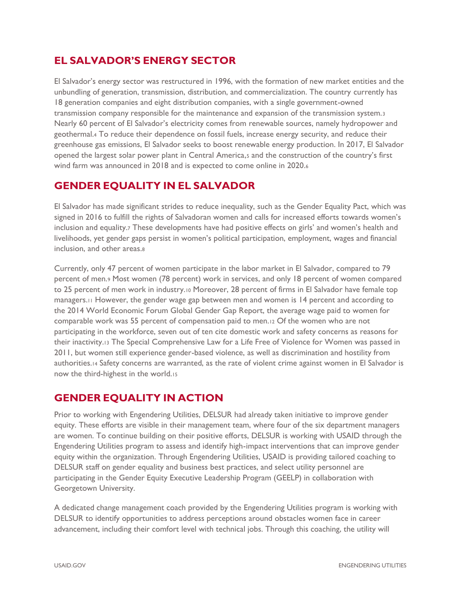# **EL SALVADOR'S ENERGY SECTOR**

El Salvador's energy sector was restructured in 1996, with the formation of new market entities and the unbundling of generation, transmission, distribution, and commercialization. The country currently has 18 generation companies and eight distribution companies, with a single government-owned transmission company responsible for the maintenance and expansion of the transmission system.<sup>3</sup> Nearly 60 percent of El Salvador's electricity comes from renewable sources, namely hydropower and geothermal.<sup>4</sup> To reduce their dependence on fossil fuels, increase energy security, and reduce their greenhouse gas emissions, El Salvador seeks to boost renewable energy production. In 2017, El Salvador opened the largest solar power plant in Central America,<sup>5</sup> and the construction of the country's first wind farm was announced in 2018 and is expected to come online in 2020.<sup>6</sup>

# **GENDER EQUALITY IN EL SALVADOR**

El Salvador has made significant strides to reduce inequality, such as the Gender Equality Pact, which was signed in 2016 to fulfill the rights of Salvadoran women and calls for increased efforts towards women's inclusion and equality.<sup>7</sup> These developments have had positive effects on girls' and women's health and livelihoods, yet gender gaps persist in women's political participation, employment, wages and financial inclusion, and other areas.<sup>8</sup>

Currently, only 47 percent of women participate in the labor market in El Salvador, compared to 79 percent of men.<sup>9</sup> Most women (78 percent) work in services, and only 18 percent of women compared to 25 percent of men work in industry.<sup>10</sup> Moreover, 28 percent of firms in El Salvador have female top managers.<sup>11</sup> However, the gender wage gap between men and women is 14 percent and according to the 2014 World Economic Forum Global Gender Gap Report, the average wage paid to women for comparable work was 55 percent of compensation paid to men.<sup>12</sup> Of the women who are not participating in the workforce, seven out of ten cite domestic work and safety concerns as reasons for their inactivity.<sup>13</sup> The Special Comprehensive Law for a Life Free of Violence for Women was passed in 2011, but women still experience gender-based violence, as well as discrimination and hostility from authorities.<sup>14</sup> Safety concerns are warranted, as the rate of violent crime against women in El Salvador is now the third-highest in the world.<sup>15</sup>

# **GENDER EQUALITY IN ACTION**

Prior to working with Engendering Utilities, DELSUR had already taken initiative to improve gender equity. These efforts are visible in their management team, where four of the six department managers are women. To continue building on their positive efforts, DELSUR is working with USAID through the Engendering Utilities program to assess and identify high-impact interventions that can improve gender equity within the organization. Through Engendering Utilities, USAID is providing tailored coaching to DELSUR staff on gender equality and business best practices, and select utility personnel are participating in the Gender Equity Executive Leadership Program (GEELP) in collaboration with Georgetown University.

A dedicated change management coach provided by the Engendering Utilities program is working with DELSUR to identify opportunities to address perceptions around obstacles women face in career advancement, including their comfort level with technical jobs. Through this coaching, the utility will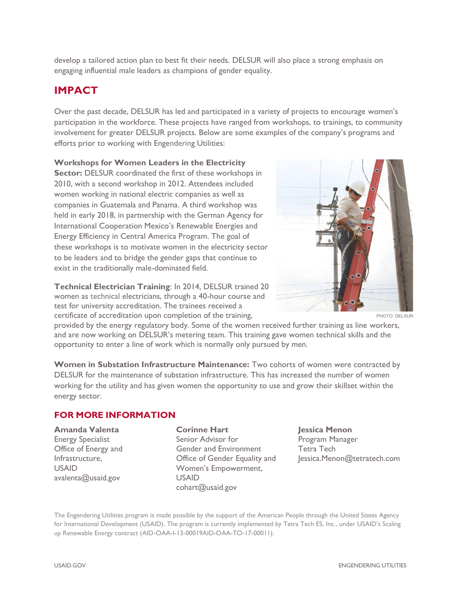develop a tailored action plan to best fit their needs. DELSUR will also place a strong emphasis on engaging influential male leaders as champions of gender equality.

## **IMPACT**

Over the past decade, DELSUR has led and participated in a variety of projects to encourage women's participation in the workforce. These projects have ranged from workshops, to trainings, to community involvement for greater DELSUR projects. Below are some examples of the company's programs and efforts prior to working with Engendering Utilities:

#### **Workshops for Women Leaders in the Electricity**

**Sector: DELSUR coordinated the first of these workshops in** 2010, with a second workshop in 2012. Attendees included women working in national electric companies as well as companies in Guatemala and Panama. A third workshop was held in early 2018, in partnership with the German Agency for International Cooperation Mexico's Renewable Energies and Energy Efficiency in Central America Program. The goal of these workshops is to motivate women in the electricity sector to be leaders and to bridge the gender gaps that continue to exist in the traditionally male-dominated field.

**Technical Electrician Training**: In 2014, DELSUR trained 20 women as technical electricians, through a 40-hour course and test for university accreditation. The trainees received a certificate of accreditation upon completion of the training,



PHOTO: DELSUR

provided by the energy regulatory body. Some of the women received further training as line workers, and are now working on DELSUR's metering team. This training gave women technical skills and the opportunity to enter a line of work which is normally only pursued by men.

**Women in Substation Infrastructure Maintenance:** Two cohorts of women were contracted by DELSUR for the maintenance of substation infrastructure. This has increased the number of women working for the utility and has given women the opportunity to use and grow their skillset within the energy sector.

### **FOR MORE INFORMATION**

#### **Amanda Valenta** Energy Specialist Office of Energy and Infrastructure, USAID [avalenta@usaid.gov](mailto:avalenta@usaid.gov)

#### **Corinne Hart**

Senior Advisor for Gender and Environment Office of Gender Equality and Women's Empowerment, USAID [cohart@usaid.gov](mailto:cohart@usaid.gov)

## **Jessica Menon**

Program Manager Tetra Tech [Jessica.Menon@tetratech.com](mailto:Jessica.Menon@tetratech.com)

The Engendering Utilities program is made possible by the support of the American People through the United States Agency for International Development (USAID). The program is currently implemented by Tetra Tech ES, Inc., under USAID's Scaling up Renewable Energy contract (AID-OAA-I-13-00019AID-OAA-TO-17-00011).